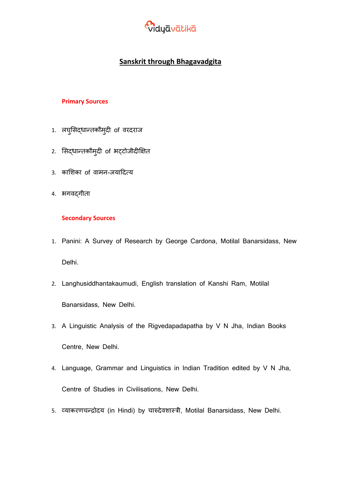

# **Sanskrit through Bhagavadgita**

#### **Primary Sources**

- 1. लघुसिद्धान्तकौमुदी of वरदराज
- 2. सिद्धान्तकौमुदी of भट्टोजीदीक्षित
- 3. कासिका of वामन-जयाददत्य
- 4. भगवद्गीता

#### **Secondary Sources**

- 1. Panini: A Survey of Research by George Cardona, Motilal Banarsidass, New Delhi.
- 2. Langhusiddhantakaumudi, English translation of Kanshi Ram, Motilal Banarsidass, New Delhi.
- 3. A Linguistic Analysis of the Rigvedapadapatha by V N Jha, Indian Books Centre, New Delhi.
- 4. Language, Grammar and Linguistics in Indian Tradition edited by V N Jha, Centre of Studies in Civilisations, New Delhi.
- 5. व्याकरणचन्द्रोदय (in Hindi) by चारुदेवशास्त्री, Motilal Banarsidass, New Delhi.